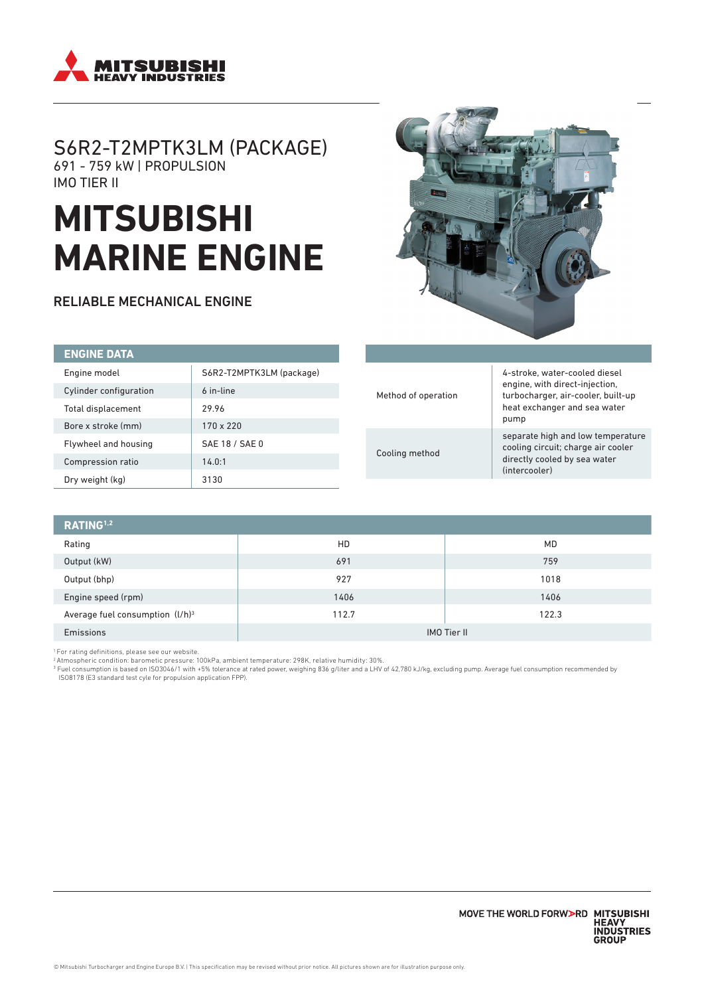

# S6R2-T2MPTK3LM (PACKAGE) 691 - 759 kW | PROPULSION IMO TIER II

# **MITSUBISHI MARINE ENGINE**

RELIABLE MECHANICAL ENGINE



| <b>ENGINE DATA</b>     |                          |                     |                                                                      |                                                                                                                                                 |
|------------------------|--------------------------|---------------------|----------------------------------------------------------------------|-------------------------------------------------------------------------------------------------------------------------------------------------|
| Engine model           | S6R2-T2MPTK3LM (package) |                     |                                                                      | 4-stroke, water-cooled diesel                                                                                                                   |
| Cylinder configuration | 6 in-line                | Method of operation | engine, with direct-injection,<br>turbocharger, air-cooler, built-up |                                                                                                                                                 |
| Total displacement     | 29.96                    |                     | Cooling method                                                       | heat exchanger and sea water<br>pump<br>separate high and low temperature<br>cooling circuit; charge air cooler<br>directly cooled by sea water |
| Bore x stroke (mm)     | $170 \times 220$         |                     |                                                                      |                                                                                                                                                 |
| Flywheel and housing   | SAE 18 / SAE 0           |                     |                                                                      |                                                                                                                                                 |
| Compression ratio      | 14.0:1                   |                     |                                                                      |                                                                                                                                                 |
| Dry weight (kg)        | 3130                     |                     |                                                                      | (intercooler)                                                                                                                                   |

| RATING <sup>1,2</sup>              |                    |       |  |  |  |
|------------------------------------|--------------------|-------|--|--|--|
| Rating                             | HD                 | MD    |  |  |  |
| Output (kW)                        | 691                | 759   |  |  |  |
| Output (bhp)                       | 927                | 1018  |  |  |  |
| Engine speed (rpm)                 | 1406               | 1406  |  |  |  |
| Average fuel consumption $(l/h)^3$ | 112.7              | 122.3 |  |  |  |
| Emissions                          | <b>IMO Tier II</b> |       |  |  |  |

1 For rating definitions, please see our website.

° Atmospheric condition: barometic pressure: 100kPa, ambient temperature: 298K, relative humidity: 30%.<br>ª Fuel consumption is based on ISO3046/1 with +5% tolerance at rated power, weighing 836 g/liter and a LHV of 42,780